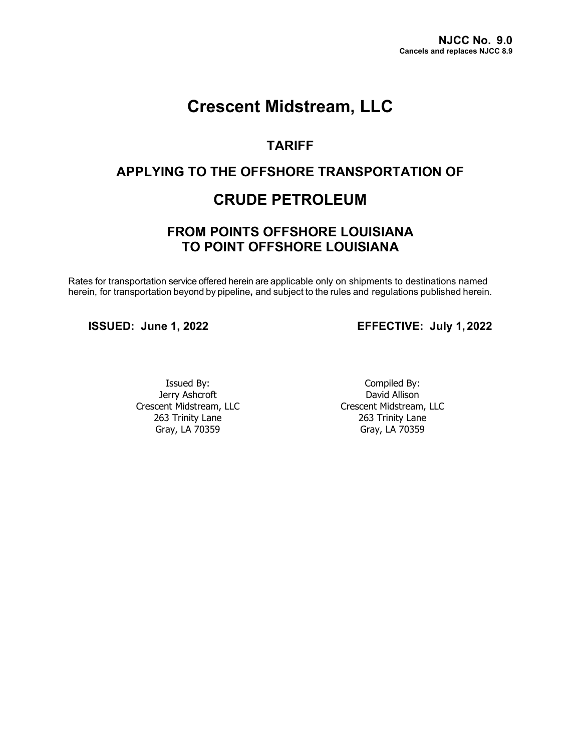# **Crescent Midstream, LLC**

## **TARIFF**

## **APPLYING TO THE OFFSHORE TRANSPORTATION OF**

## **CRUDE PETROLEUM**

## **FROM POINTS OFFSHORE LOUISIANA TO POINT OFFSHORE LOUISIANA**

Rates for transportation service offered herein are applicable only on shipments to destinations named herein, for transportation beyond by pipeline**,** and subject to the rules and regulations published herein.

**ISSUED: June 1, 2022 EFFECTIVE: July 1,2022**

Issued By: Jerry Ashcroft Crescent Midstream, LLC 263 Trinity Lane Gray, LA 70359

Compiled By: David Allison Crescent Midstream, LLC 263 Trinity Lane Gray, LA 70359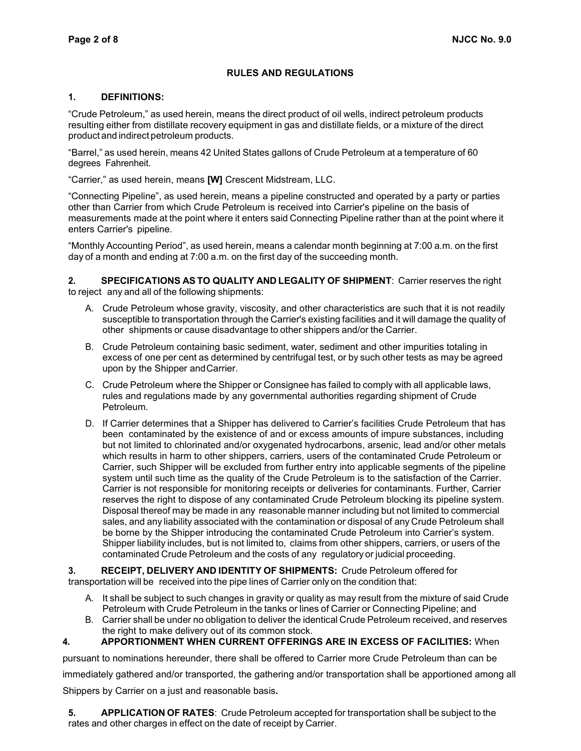#### **RULES AND REGULATIONS**

#### **1. DEFINITIONS:**

"Crude Petroleum," as used herein, means the direct product of oil wells, indirect petroleum products resulting either from distillate recovery equipment in gas and distillate fields, or a mixture of the direct product and indirect petroleum products.

"Barrel," as used herein, means 42 United States gallons of Crude Petroleum at a temperature of 60 degrees Fahrenheit.

"Carrier," as used herein, means **[W]** Crescent Midstream, LLC.

"Connecting Pipeline", as used herein, means a pipeline constructed and operated by a party or parties other than Carrier from which Crude Petroleum is received into Carrier's pipeline on the basis of measurements made at the point where it enters said Connecting Pipeline rather than at the point where it enters Carrier's pipeline.

"Monthly Accounting Period", as used herein, means a calendar month beginning at 7:00 a.m. on the first day of a month and ending at 7:00 a.m. on the first day of the succeeding month.

**2. SPECIFICATIONS ASTO QUALITY AND LEGALITY OF SHIPMENT**: Carrier reserves the right to reject any and all of the following shipments:

- A. Crude Petroleum whose gravity, viscosity, and other characteristics are such that it is not readily susceptible to transportation through the Carrier's existing facilities and it will damage the quality of other shipments or cause disadvantage to other shippers and/or the Carrier.
- B. Crude Petroleum containing basic sediment, water, sediment and other impurities totaling in excess of one per cent as determined by centrifugal test, or by such other tests as may be agreed upon by the Shipper andCarrier.
- C. Crude Petroleum where the Shipper or Consignee has failed to comply with all applicable laws, rules and regulations made by any governmental authorities regarding shipment of Crude Petroleum.
- D. If Carrier determines that a Shipper has delivered to Carrier's facilities Crude Petroleum that has been contaminated by the existence of and or excess amounts of impure substances, including but not limited to chlorinated and/or oxygenated hydrocarbons, arsenic, lead and/or other metals which results in harm to other shippers, carriers, users of the contaminated Crude Petroleum or Carrier, such Shipper will be excluded from further entry into applicable segments of the pipeline system until such time as the quality of the Crude Petroleum is to the satisfaction of the Carrier. Carrier is not responsible for monitoring receipts or deliveries for contaminants. Further, Carrier reserves the right to dispose of any contaminated Crude Petroleum blocking its pipeline system. Disposal thereof may be made in any reasonable manner including but not limited to commercial sales, and any liability associated with the contamination or disposal of any Crude Petroleum shall be borne by the Shipper introducing the contaminated Crude Petroleum into Carrier's system. Shipper liability includes, but is not limited to, claims from other shippers, carriers, or users of the contaminated Crude Petroleum and the costs of any regulatory or judicial proceeding.

**3. RECEIPT, DELIVERY AND IDENTITY OF SHIPMENTS:** Crude Petroleum offered for transportation will be received into the pipe lines of Carrier only on the condition that:

- A. It shall be subject to such changes in gravity or quality as may result from the mixture of said Crude Petroleum with Crude Petroleum in the tanks or lines of Carrier or Connecting Pipeline; and
- B. Carrier shall be under no obligation to deliver the identical Crude Petroleum received, and reserves the right to make delivery out of its common stock.

#### **4. APPORTIONMENT WHEN CURRENT OFFERINGS ARE IN EXCESS OF FACILITIES:** When

pursuant to nominations hereunder, there shall be offered to Carrier more Crude Petroleum than can be immediately gathered and/or transported, the gathering and/or transportation shall be apportioned among all Shippers by Carrier on a just and reasonable basis**.**

**5. APPLICATION OF RATES**: Crude Petroleum accepted for transportation shall be subject to the rates and other charges in effect on the date of receipt by Carrier.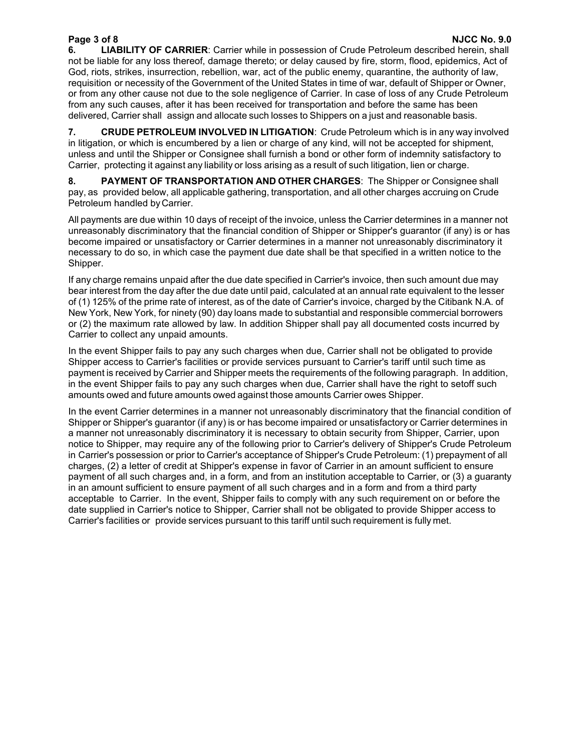**Page 3 of 8 NJCC No. 9.0 6. LIABILITY OF CARRIER**: Carrier while in possession of Crude Petroleum described herein, shall not be liable for any loss thereof, damage thereto; or delay caused by fire, storm, flood, epidemics, Act of God, riots, strikes, insurrection, rebellion, war, act of the public enemy, quarantine, the authority of law, requisition or necessity of the Government of the United States in time of war, default of Shipper or Owner, or from any other cause not due to the sole negligence of Carrier. In case of loss of any Crude Petroleum from any such causes, after it has been received for transportation and before the same has been delivered, Carrier shall assign and allocate such losses to Shippers on a just and reasonable basis.

**7. CRUDE PETROLEUM INVOLVED IN LITIGATION**: Crude Petroleum which is in any way involved in litigation, or which is encumbered by a lien or charge of any kind, will not be accepted for shipment, unless and until the Shipper or Consignee shall furnish a bond or other form of indemnity satisfactory to Carrier, protecting it against any liability or loss arising as a result of such litigation, lien or charge.

**8. PAYMENT OF TRANSPORTATION AND OTHER CHARGES**: The Shipper or Consignee shall pay, as provided below, all applicable gathering, transportation, and all other charges accruing on Crude Petroleum handled byCarrier.

All payments are due within 10 days of receipt of the invoice, unless the Carrier determines in a manner not unreasonably discriminatory that the financial condition of Shipper or Shipper's guarantor (if any) is or has become impaired or unsatisfactory or Carrier determines in a manner not unreasonably discriminatory it necessary to do so, in which case the payment due date shall be that specified in a written notice to the Shipper.

If any charge remains unpaid after the due date specified in Carrier's invoice, then such amount due may bear interest from the day after the due date until paid, calculated at an annual rate equivalent to the lesser of (1) 125% of the prime rate of interest, as of the date of Carrier's invoice, charged by the Citibank N.A. of New York, New York, for ninety (90) day loans made to substantial and responsible commercial borrowers or (2) the maximum rate allowed by law. In addition Shipper shall pay all documented costs incurred by Carrier to collect any unpaid amounts.

In the event Shipper fails to pay any such charges when due, Carrier shall not be obligated to provide Shipper access to Carrier's facilities or provide services pursuant to Carrier's tariff until such time as payment is received by Carrier and Shipper meets the requirements of the following paragraph. In addition, in the event Shipper fails to pay any such charges when due, Carrier shall have the right to setoff such amounts owed and future amounts owed against those amounts Carrier owes Shipper.

In the event Carrier determines in a manner not unreasonably discriminatory that the financial condition of Shipper or Shipper's guarantor (if any) is or has become impaired or unsatisfactory or Carrier determines in a manner not unreasonably discriminatory it is necessary to obtain security from Shipper, Carrier, upon notice to Shipper, may require any of the following prior to Carrier's delivery of Shipper's Crude Petroleum in Carrier's possession or prior to Carrier's acceptance of Shipper's Crude Petroleum: (1) prepayment of all charges, (2) a letter of credit at Shipper's expense in favor of Carrier in an amount sufficient to ensure payment of all such charges and, in a form, and from an institution acceptable to Carrier, or (3) a guaranty in an amount sufficient to ensure payment of all such charges and in a form and from a third party acceptable to Carrier. In the event, Shipper fails to comply with any such requirement on or before the date supplied in Carrier's notice to Shipper, Carrier shall not be obligated to provide Shipper access to Carrier's facilities or provide services pursuant to this tariff until such requirement is fully met.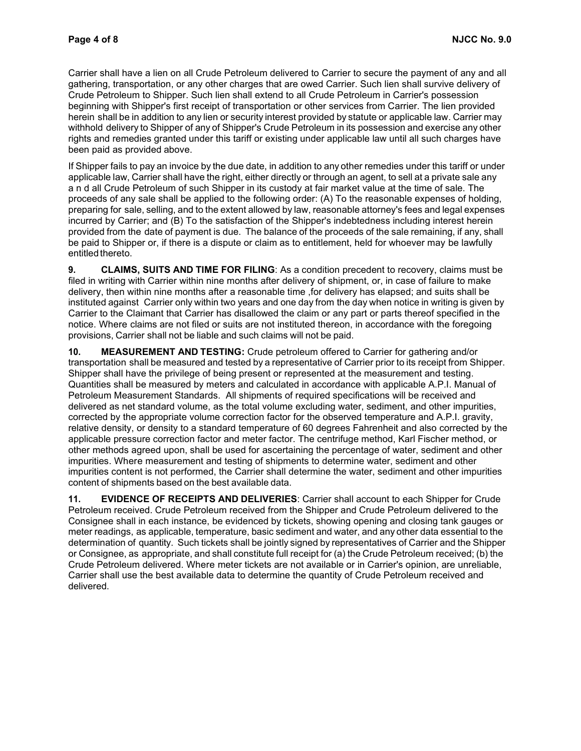Carrier shall have a lien on all Crude Petroleum delivered to Carrier to secure the payment of any and all gathering, transportation, or any other charges that are owed Carrier. Such lien shall survive delivery of Crude Petroleum to Shipper. Such lien shall extend to all Crude Petroleum in Carrier's possession beginning with Shipper's first receipt of transportation or other services from Carrier. The lien provided herein shall be in addition to any lien or security interest provided by statute or applicable law. Carrier may withhold delivery to Shipper of any of Shipper's Crude Petroleum in its possession and exercise any other rights and remedies granted under this tariff or existing under applicable law until all such charges have been paid as provided above.

If Shipper fails to pay an invoice by the due date, in addition to any other remedies under this tariff or under applicable law, Carrier shall have the right, either directly or through an agent, to sell at a private sale any a n d all Crude Petroleum of such Shipper in its custody at fair market value at the time of sale. The proceeds of any sale shall be applied to the following order: (A) To the reasonable expenses of holding, preparing for sale, selling, and to the extent allowed by law, reasonable attorney's fees and legal expenses incurred by Carrier; and (B) To the satisfaction of the Shipper's indebtedness including interest herein provided from the date of payment is due. The balance of the proceeds of the sale remaining, if any, shall be paid to Shipper or, if there is a dispute or claim as to entitlement, held for whoever may be lawfully entitled thereto.

**9. CLAIMS, SUITS AND TIME FOR FILING**: As a condition precedent to recovery, claims must be filed in writing with Carrier within nine months after delivery of shipment, or, in case of failure to make delivery, then within nine months after a reasonable time ,for delivery has elapsed; and suits shall be instituted against Carrier only within two years and one day from the day when notice in writing is given by Carrier to the Claimant that Carrier has disallowed the claim or any part or parts thereof specified in the notice. Where claims are not filed or suits are not instituted thereon, in accordance with the foregoing provisions, Carrier shall not be liable and such claims will not be paid.

**10. MEASUREMENT AND TESTING:** Crude petroleum offered to Carrier for gathering and/or transportation shall be measured and tested by a representative of Carrier prior to its receipt from Shipper. Shipper shall have the privilege of being present or represented at the measurement and testing. Quantities shall be measured by meters and calculated in accordance with applicable A.P.I. Manual of Petroleum Measurement Standards. All shipments of required specifications will be received and delivered as net standard volume, as the total volume excluding water, sediment, and other impurities, corrected by the appropriate volume correction factor for the observed temperature and A.P.I. gravity, relative density, or density to a standard temperature of 60 degrees Fahrenheit and also corrected by the applicable pressure correction factor and meter factor. The centrifuge method, Karl Fischer method, or other methods agreed upon, shall be used for ascertaining the percentage of water, sediment and other impurities. Where measurement and testing of shipments to determine water, sediment and other impurities content is not performed, the Carrier shall determine the water, sediment and other impurities content of shipments based on the best available data.

**11. EVIDENCE OF RECEIPTS AND DELIVERIES**: Carrier shall account to each Shipper for Crude Petroleum received. Crude Petroleum received from the Shipper and Crude Petroleum delivered to the Consignee shall in each instance, be evidenced by tickets, showing opening and closing tank gauges or meter readings, as applicable, temperature, basic sediment and water, and any other data essential to the determination of quantity. Such tickets shall be jointly signed by representatives of Carrier and the Shipper or Consignee, as appropriate, and shall constitute full receipt for (a) the Crude Petroleum received; (b) the Crude Petroleum delivered. Where meter tickets are not available or in Carrier's opinion, are unreliable, Carrier shall use the best available data to determine the quantity of Crude Petroleum received and delivered.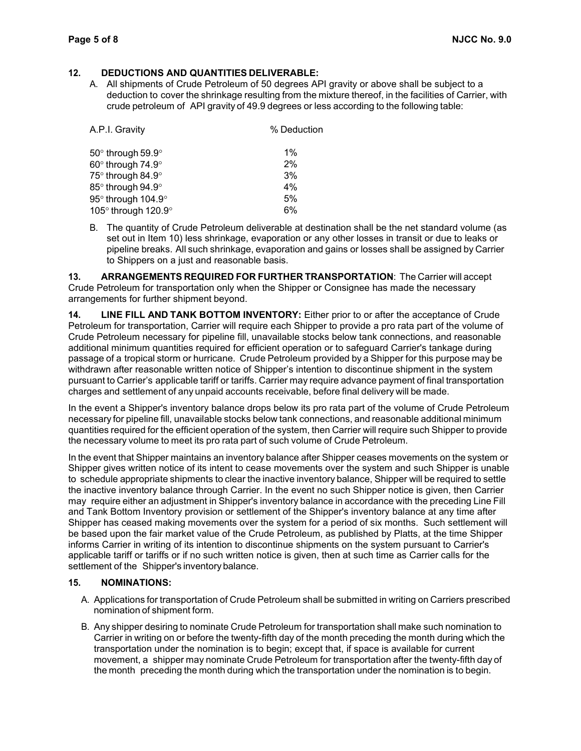#### **12. DEDUCTIONS AND QUANTITIES DELIVERABLE:**

A. All shipments of Crude Petroleum of 50 degrees API gravity or above shall be subject to a deduction to cover the shrinkage resulting from the mixture thereof, in the facilities of Carrier, with crude petroleum of API gravity of 49.9 degrees or less according to the following table:

| A.P.I. Gravity      | % Deduction |
|---------------------|-------------|
| 50° through 59.9°   | 1%          |
| 60° through 74.9°   | 2%          |
| 75° through 84.9°   | 3%          |
| 85° through 94.9°   | 4%          |
| 95° through 104.9°  | 5%          |
| 105° through 120.9° | 6%          |

B. The quantity of Crude Petroleum deliverable at destination shall be the net standard volume (as set out in Item 10) less shrinkage, evaporation or any other losses in transit or due to leaks or pipeline breaks. All such shrinkage, evaporation and gains or losses shall be assigned by Carrier to Shippers on a just and reasonable basis.

**13. ARRANGEMENTS REQUIRED FOR FURTHER TRANSPORTATION**: The Carrier will accept Crude Petroleum for transportation only when the Shipper or Consignee has made the necessary arrangements for further shipment beyond.

**14. LINE FILL AND TANK BOTTOM INVENTORY:** Either prior to or after the acceptance of Crude Petroleum for transportation, Carrier will require each Shipper to provide a pro rata part of the volume of Crude Petroleum necessary for pipeline fill, unavailable stocks below tank connections, and reasonable additional minimum quantities required for efficient operation or to safeguard Carrier's tankage during passage of a tropical storm or hurricane. Crude Petroleum provided by a Shipper for this purpose may be withdrawn after reasonable written notice of Shipper's intention to discontinue shipment in the system pursuant to Carrier's applicable tariff or tariffs. Carrier may require advance payment of final transportation charges and settlement of any unpaid accounts receivable, before final delivery will be made.

In the event a Shipper's inventory balance drops below its pro rata part of the volume of Crude Petroleum necessary for pipeline fill, unavailable stocks below tank connections, and reasonable additional minimum quantities required for the efficient operation of the system, then Carrier will require such Shipper to provide the necessary volume to meet its pro rata part of such volume of Crude Petroleum.

In the event that Shipper maintains an inventory balance after Shipper ceases movements on the system or Shipper gives written notice of its intent to cease movements over the system and such Shipper is unable to schedule appropriate shipments to clear the inactive inventory balance, Shipper will be required to settle the inactive inventory balance through Carrier. In the event no such Shipper notice is given, then Carrier may require either an adjustment in Shipper's inventory balance in accordance with the preceding Line Fill and Tank Bottom Inventory provision or settlement of the Shipper's inventory balance at any time after Shipper has ceased making movements over the system for a period of six months. Such settlement will be based upon the fair market value of the Crude Petroleum, as published by Platts, at the time Shipper informs Carrier in writing of its intention to discontinue shipments on the system pursuant to Carrier's applicable tariff or tariffs or if no such written notice is given, then at such time as Carrier calls for the settlement of the Shipper's inventory balance.

#### **15. NOMINATIONS:**

- A. Applications for transportation of Crude Petroleum shall be submitted in writing on Carriers prescribed nomination of shipment form.
- B. Any shipper desiring to nominate Crude Petroleum for transportation shall make such nomination to Carrier in writing on or before the twenty-fifth day of the month preceding the month during which the transportation under the nomination is to begin; except that, if space is available for current movement, a shipper may nominate Crude Petroleum for transportation after the twenty-fifth day of the month preceding the month during which the transportation under the nomination is to begin.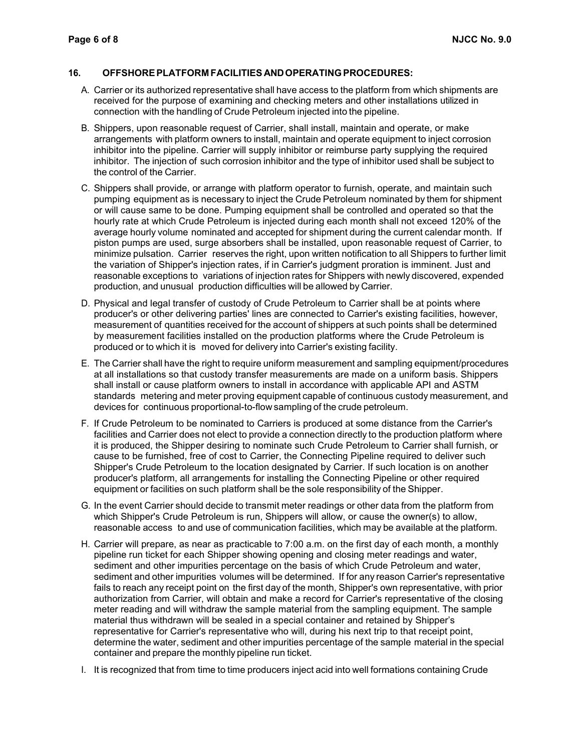#### **16. OFFSHOREPLATFORM FACILITIES ANDOPERATING PROCEDURES:**

- A. Carrier or its authorized representative shall have access to the platform from which shipments are received for the purpose of examining and checking meters and other installations utilized in connection with the handling of Crude Petroleum injected into the pipeline.
- B. Shippers, upon reasonable request of Carrier, shall install, maintain and operate, or make arrangements with platform owners to install, maintain and operate equipment to inject corrosion inhibitor into the pipeline. Carrier will supply inhibitor or reimburse party supplying the required inhibitor. The injection of such corrosion inhibitor and the type of inhibitor used shall be subject to the control of the Carrier.
- C. Shippers shall provide, or arrange with platform operator to furnish, operate, and maintain such pumping equipment as is necessary to inject the Crude Petroleum nominated by them for shipment or will cause same to be done. Pumping equipment shall be controlled and operated so that the hourly rate at which Crude Petroleum is injected during each month shall not exceed 120% of the average hourly volume nominated and accepted for shipment during the current calendar month. If piston pumps are used, surge absorbers shall be installed, upon reasonable request of Carrier, to minimize pulsation. Carrier reserves the right, upon written notification to all Shippers to further limit the variation of Shipper's injection rates, if in Carrier's judgment proration is imminent. Just and reasonable exceptions to variations of injection rates for Shippers with newly discovered, expended production, and unusual production difficulties will be allowed by Carrier.
- D. Physical and legal transfer of custody of Crude Petroleum to Carrier shall be at points where producer's or other delivering parties' lines are connected to Carrier's existing facilities, however, measurement of quantities received for the account of shippers at such points shall be determined by measurement facilities installed on the production platforms where the Crude Petroleum is produced or to which it is moved for delivery into Carrier's existing facility.
- E. The Carrier shall have the right to require uniform measurement and sampling equipment/procedures at all installations so that custody transfer measurements are made on a uniform basis. Shippers shall install or cause platform owners to install in accordance with applicable API and ASTM standards metering and meter proving equipment capable of continuous custody measurement, and devices for continuous proportional-to-flow sampling of the crude petroleum.
- F. If Crude Petroleum to be nominated to Carriers is produced at some distance from the Carrier's facilities and Carrier does not elect to provide a connection directly to the production platform where it is produced, the Shipper desiring to nominate such Crude Petroleum to Carrier shall furnish, or cause to be furnished, free of cost to Carrier, the Connecting Pipeline required to deliver such Shipper's Crude Petroleum to the location designated by Carrier. If such location is on another producer's platform, all arrangements for installing the Connecting Pipeline or other required equipment or facilities on such platform shall be the sole responsibility of the Shipper.
- G. In the event Carrier should decide to transmit meter readings or other data from the platform from which Shipper's Crude Petroleum is run, Shippers will allow, or cause the owner(s) to allow, reasonable access to and use of communication facilities, which may be available at the platform.
- H. Carrier will prepare, as near as practicable to 7:00 a.m. on the first day of each month, a monthly pipeline run ticket for each Shipper showing opening and closing meter readings and water, sediment and other impurities percentage on the basis of which Crude Petroleum and water, sediment and other impurities volumes will be determined. If for any reason Carrier's representative fails to reach any receipt point on the first day of the month, Shipper's own representative, with prior authorization from Carrier, will obtain and make a record for Carrier's representative of the closing meter reading and will withdraw the sample material from the sampling equipment. The sample material thus withdrawn will be sealed in a special container and retained by Shipper's representative for Carrier's representative who will, during his next trip to that receipt point, determine the water, sediment and other impurities percentage of the sample material in the special container and prepare the monthly pipeline run ticket.
- I. It is recognized that from time to time producers inject acid into well formations containing Crude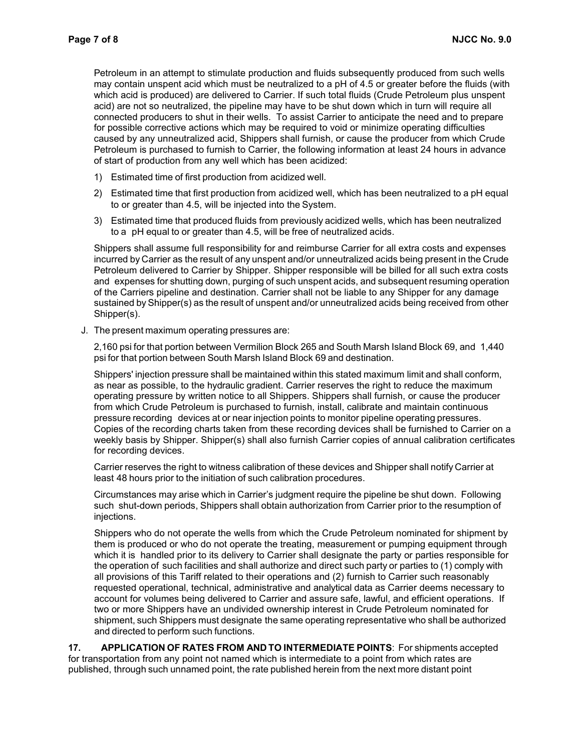Petroleum in an attempt to stimulate production and fluids subsequently produced from such wells may contain unspent acid which must be neutralized to a pH of 4.5 or greater before the fluids (with which acid is produced) are delivered to Carrier. If such total fluids (Crude Petroleum plus unspent acid) are not so neutralized, the pipeline may have to be shut down which in turn will require all connected producers to shut in their wells. To assist Carrier to anticipate the need and to prepare for possible corrective actions which may be required to void or minimize operating difficulties caused by any unneutralized acid, Shippers shall furnish, or cause the producer from which Crude Petroleum is purchased to furnish to Carrier, the following information at least 24 hours in advance of start of production from any well which has been acidized:

- 1) Estimated time of first production from acidized well.
- 2) Estimated time that first production from acidized well, which has been neutralized to a pH equal to or greater than 4.5, will be injected into the System.
- 3) Estimated time that produced fluids from previously acidized wells, which has been neutralized to a pH equal to or greater than 4.5, will be free of neutralized acids.

Shippers shall assume full responsibility for and reimburse Carrier for all extra costs and expenses incurred by Carrier as the result of any unspent and/or unneutralized acids being present in the Crude Petroleum delivered to Carrier by Shipper. Shipper responsible will be billed for all such extra costs and expenses for shutting down, purging of such unspent acids, and subsequent resuming operation of the Carriers pipeline and destination. Carrier shall not be liable to any Shipper for any damage sustained byShipper(s) as the result of unspent and/or unneutralized acids being received from other Shipper(s).

J. The present maximum operating pressures are:

2,160 psi for that portion between Vermilion Block 265 and South Marsh Island Block 69, and 1,440 psi for that portion between South Marsh Island Block 69 and destination.

Shippers' injection pressure shall be maintained within this stated maximum limit and shall conform, as near as possible, to the hydraulic gradient. Carrier reserves the right to reduce the maximum operating pressure by written notice to all Shippers. Shippers shall furnish, or cause the producer from which Crude Petroleum is purchased to furnish, install, calibrate and maintain continuous pressure recording devices at or near injection points to monitor pipeline operating pressures. Copies of the recording charts taken from these recording devices shall be furnished to Carrier on a weekly basis by Shipper. Shipper(s) shall also furnish Carrier copies of annual calibration certificates for recording devices.

Carrier reserves the right to witness calibration of these devices and Shipper shall notify Carrier at least 48 hours prior to the initiation of such calibration procedures.

Circumstances may arise which in Carrier's judgment require the pipeline be shut down. Following such shut-down periods, Shippers shall obtain authorization from Carrier prior to the resumption of injections.

Shippers who do not operate the wells from which the Crude Petroleum nominated for shipment by them is produced or who do not operate the treating, measurement or pumping equipment through which it is handled prior to its delivery to Carrier shall designate the party or parties responsible for the operation of such facilities and shall authorize and direct such party or parties to (1) comply with all provisions of this Tariff related to their operations and (2) furnish to Carrier such reasonably requested operational, technical, administrative and analytical data as Carrier deems necessary to account for volumes being delivered to Carrier and assure safe, lawful, and efficient operations. If two or more Shippers have an undivided ownership interest in Crude Petroleum nominated for shipment, such Shippers must designate the same operating representative who shall be authorized and directed to perform such functions.

**17. APPLICATION OF RATES FROM AND TO INTERMEDIATE POINTS**: For shipments accepted for transportation from any point not named which is intermediate to a point from which rates are published, through such unnamed point, the rate published herein from the next more distant point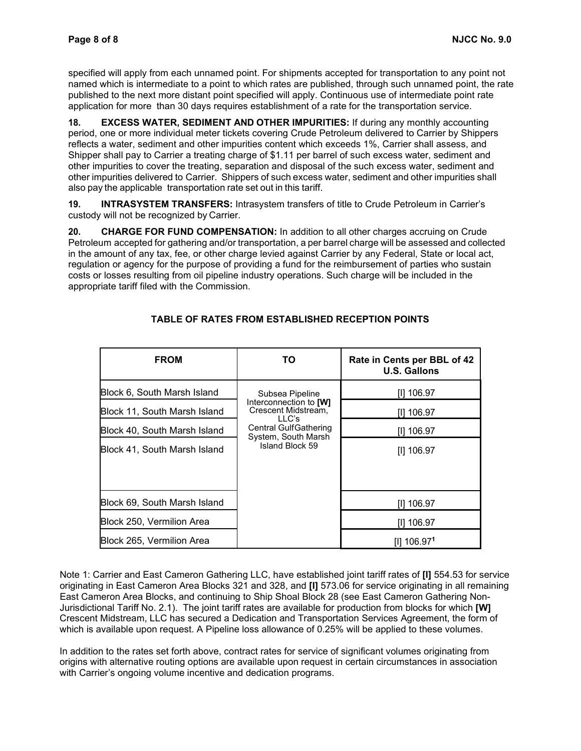specified will apply from each unnamed point. For shipments accepted for transportation to any point not named which is intermediate to a point to which rates are published, through such unnamed point, the rate published to the next more distant point specified will apply. Continuous use of intermediate point rate application for more than 30 days requires establishment of a rate for the transportation service.

**18. EXCESS WATER, SEDIMENT AND OTHER IMPURITIES:** If during any monthly accounting period, one or more individual meter tickets covering Crude Petroleum delivered to Carrier by Shippers reflects a water, sediment and other impurities content which exceeds 1%, Carrier shall assess, and Shipper shall pay to Carrier a treating charge of \$1.11 per barrel of such excess water, sediment and other impurities to cover the treating, separation and disposal of the such excess water, sediment and other impurities delivered to Carrier. Shippers of such excess water, sediment and other impurities shall also pay the applicable transportation rate set out in this tariff.

**19. INTRASYSTEM TRANSFERS:** Intrasystem transfers of title to Crude Petroleum in Carrier's custody will not be recognized by Carrier.

**20. CHARGE FOR FUND COMPENSATION:** In addition to all other charges accruing on Crude Petroleum accepted for gathering and/or transportation, a per barrel charge will be assessed and collected in the amount of any tax, fee, or other charge levied against Carrier by any Federal, State or local act, regulation or agency for the purpose of providing a fund for the reimbursement of parties who sustain costs or losses resulting from oil pipeline industry operations. Such charge will be included in the appropriate tariff filed with the Commission.

| <b>FROM</b>                  | ΤО                                                                                                                        | Rate in Cents per BBL of 42<br><b>U.S. Gallons</b> |
|------------------------------|---------------------------------------------------------------------------------------------------------------------------|----------------------------------------------------|
| Block 6, South Marsh Island  | Subsea Pipeline                                                                                                           | III 106.97                                         |
| Block 11, South Marsh Island | Interconnection to [W]<br>Crescent Midstream,<br>LLC's<br>Central GulfGathering<br>System, South Marsh<br>Island Block 59 | III 106.97                                         |
| Block 40, South Marsh Island |                                                                                                                           | III 106.97                                         |
| Block 41, South Marsh Island |                                                                                                                           | [I] 106.97                                         |
|                              |                                                                                                                           |                                                    |
| Block 69, South Marsh Island |                                                                                                                           | [I] 106.97                                         |
| Block 250, Vermilion Area    |                                                                                                                           | [I] 106.97                                         |
| Block 265, Vermilion Area    |                                                                                                                           | [I] 106.971                                        |

### **TABLE OF RATES FROM ESTABLISHED RECEPTION POINTS**

Note 1: Carrier and East Cameron Gathering LLC, have established joint tariff rates of **[I]** 554.53 for service originating in East Cameron Area Blocks 321 and 328, and **[I]** 573.06 for service originating in all remaining East Cameron Area Blocks, and continuing to Ship Shoal Block 28 (see East Cameron Gathering Non-Jurisdictional Tariff No. 2.1). The joint tariff rates are available for production from blocks for which **[W]**  Crescent Midstream, LLC has secured a Dedication and Transportation Services Agreement, the form of which is available upon request. A Pipeline loss allowance of 0.25% will be applied to these volumes.

In addition to the rates set forth above, contract rates for service of significant volumes originating from origins with alternative routing options are available upon request in certain circumstances in association with Carrier's ongoing volume incentive and dedication programs.